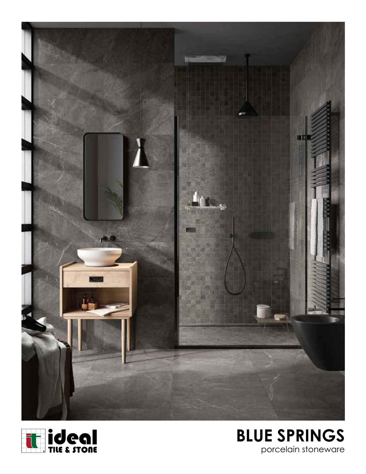



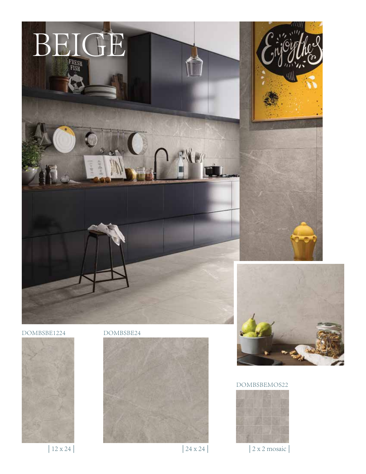

### DOMBSBE1224 DOMBSBE24







# DOMBSBEMOS22

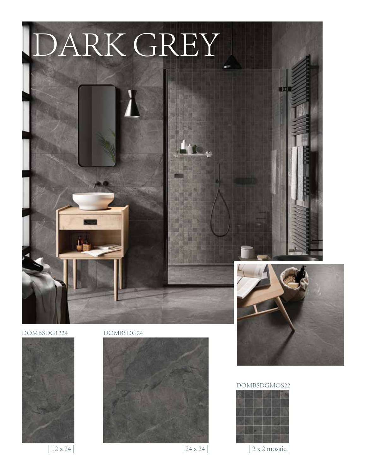

DOMBSDG1224 DOMBSDG24









#### DOMBSDGMOS22



| 12 x 24 | | 24 x 24 | | 24 x 24 | | 2 x 2 mosaic |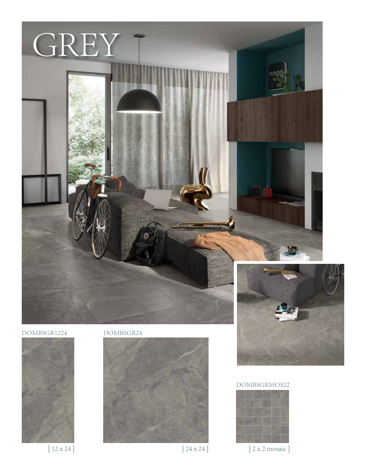

# DOMBSGR1224 DOMBSGR24







# DOMBSGRMOS22

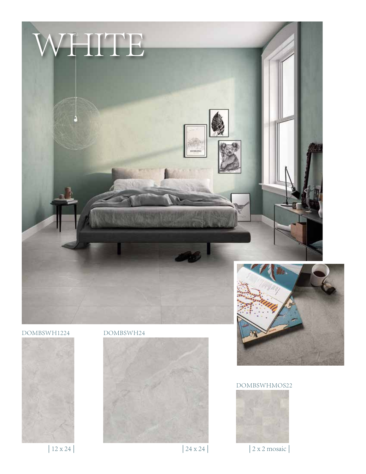

# DOMBSWH1224 DOMBSWH24







# DOMBSWHMOS22

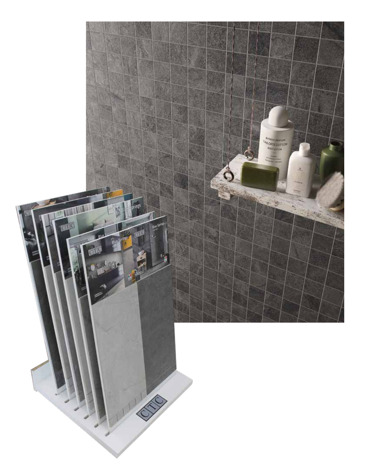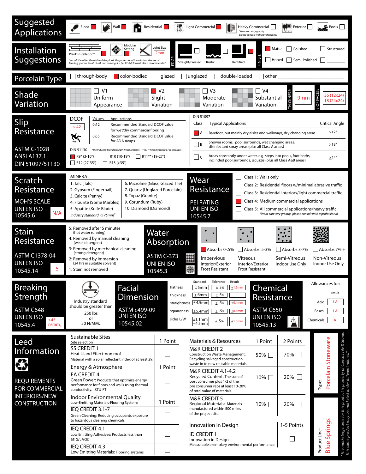| Suggested<br><b>Applications</b>                                                       | Floor<br>Wall                                                                                                                                                                                                                                                                                                                                                                                                                                                                                                                                                                                                                                                                                                  | Ħ<br>Residential                               | 「讓<br>Light Commercial<br>Heavy Commercial<br>*Wear can vary greatly.                                                                                                                                                                                                                                                                                                                                   | please consult with a professional. | Exterior                   | $\mathbf{z}$ Pools $\Box$                                                                                                                                                     |
|----------------------------------------------------------------------------------------|----------------------------------------------------------------------------------------------------------------------------------------------------------------------------------------------------------------------------------------------------------------------------------------------------------------------------------------------------------------------------------------------------------------------------------------------------------------------------------------------------------------------------------------------------------------------------------------------------------------------------------------------------------------------------------------------------------------|------------------------------------------------|---------------------------------------------------------------------------------------------------------------------------------------------------------------------------------------------------------------------------------------------------------------------------------------------------------------------------------------------------------------------------------------------------------|-------------------------------------|----------------------------|-------------------------------------------------------------------------------------------------------------------------------------------------------------------------------|
| Installation<br><b>Suggestions</b>                                                     | Modular<br>Joint Size<br>Polished<br>Structured<br>Setting<br>Matte<br>2 <sub>mm</sub><br>Plank Installation<br>Semi-Polished<br>  Honed<br>*Install the offset the width of the plank. For professional installation, the use of<br>Straight/Pressed<br>Rectified<br>Rustic<br>leveling spacers for all plank and rectangular (ie. 12x24) format tiles is recommended.                                                                                                                                                                                                                                                                                                                                        |                                                |                                                                                                                                                                                                                                                                                                                                                                                                         |                                     |                            |                                                                                                                                                                               |
| Porcelain Type                                                                         | ⊤through-body<br>double-loaded<br>$\Box$ other<br>color-bodied<br>glazed<br>unglazed                                                                                                                                                                                                                                                                                                                                                                                                                                                                                                                                                                                                                           |                                                |                                                                                                                                                                                                                                                                                                                                                                                                         |                                     |                            |                                                                                                                                                                               |
| Shade<br>Variation                                                                     | V <sub>2</sub><br>$\neg$ V4<br>∣ V1<br>  V3<br><b>THICKNESS</b><br><b>FACE</b><br>36 (12x24)<br>Uniform<br>Slight<br>Substantial<br>Moderate<br>9mm<br>18 (24x24)<br>$\overline{0}$<br>Variation<br>Variation<br>Appearance<br>Variation                                                                                                                                                                                                                                                                                                                                                                                                                                                                       |                                                |                                                                                                                                                                                                                                                                                                                                                                                                         |                                     |                            |                                                                                                                                                                               |
| Slip<br>Resistance<br><b>ASTM C-1028</b><br><b>ANSI A137.1</b><br>DIN 51097/51130      | <b>DCOF</b><br>Applications<br>Values<br>0.42<br>Recommended Standard DCOF value<br>> .42<br>for wet/dry commercial flooring<br>ल्<br>0.65<br>Recommended Standard DCOF value<br>for ADA ramps<br>DIN 51130<br>*R9: Industry Standard/ADA Requirements **R11: Recommended For Exteriors<br>$R9*(3-10^{\circ})$<br>$\Box$ R10 (10-19°)<br>$\parallel$ R11** (19-27°)<br>R12 (27-35°)<br>$\Box$ R13 (>35°)                                                                                                                                                                                                                                                                                                       |                                                | DIN 51097<br><b>Typical Applications</b><br>Class<br><b>I</b> A<br>Barefoot, but mainly dry aisles and walkways, dry changing areas<br>Shower rooms, pool surrounds, wet changing areas,<br>$ $ $ $ B<br>disinfectant spray areas (plus all Class A areas)<br>Areas constantly under water, e.g. steps into pools, foot baths,<br>   c<br>inclinded pool surrounds, jacuzzis (plus all Class A&B areas) |                                     |                            | <b>Critical Angle</b><br>$\geq$ 12°<br>$\geq$ 18°<br>$>24^\circ$                                                                                                              |
| Scratch<br>Resistance<br><b>MOH'S SCALE</b><br>UNI EN ISO<br>N/A<br>10545.6            | MINERAL<br>Class 1: Walls only<br>Wear<br>6. Microline (Glass, Glazed Tile)<br>1. Talc (Talc)<br>Class 2: Residential floors w/minimal abrasive traffic<br>Resistance<br>7. Quartz (Unglazed Porcelain)<br>2. Gypsum (Fingernail)<br>Class 3: Residential interiors/light commercial traffic<br>8. Topaz (Granite)<br>3. Calcite (Penny)<br>Class 4: Medium commercial applications<br><b>PEI RATING</b><br>9. Corundum (Ruby)<br>4. Flourite (Some Marbles)<br>UNI EN ISO<br>5. Apatite (Knife Blade)<br>10. Diamond (Diamond)<br>Class 5: All commercial applications/heavy traffic<br>*Wear can vary greatly. please consult with a professional.<br>Industry standard $\leq$ 175mm <sup>2</sup><br>10545.7 |                                                |                                                                                                                                                                                                                                                                                                                                                                                                         |                                     |                            |                                                                                                                                                                               |
| <b>Stain</b><br>Resistance<br>ASTM C1378-04<br>UNI EN ISO<br>5<br>10545.14             | 5: Removed after 5 minutes<br>Water<br>(hot water running)<br>4: Removed by manual cleaning<br><b>Absorption</b><br>(weak detergent)<br>3: Removed by mechanical cleaning<br>Absorbs 0-.5%<br>8-5-3% Absorbs<br>Absorbs 3-7%<br>Absorbs 7% +<br>(strong detergent)<br>ASTM C-373<br>₩<br>Non-Vitreous<br>Impervious<br>Vitreous<br>Semi-Vitreous<br>2: Removed by immersion<br>UNI EN ISO<br>(24 hrs in suitable solvent)<br>Interior/Exterior<br>Interior/Exterior<br>Indoor Use Only<br>Indoor Use Only<br>蠓<br><b>Frost Resistant</b><br><b>Frost Resistant</b><br>1: Stain not removed<br>10545.3                                                                                                          |                                                |                                                                                                                                                                                                                                                                                                                                                                                                         |                                     |                            |                                                                                                                                                                               |
| <b>Breaking</b><br>Strength<br>ASTM C648<br>UNI EN ISO<br>$>45$<br>10545.4<br>n/mm     | Tolerance Result<br>Standard<br>$\sqrt{1}$<br>Facial<br>$\pm .5%$<br><b>Chemical</b><br>flatness<br>±5mm<br>±1.5mm<br>$\pm .5%$<br>± 6mm<br><b>Dimension</b><br>thickness<br>Resistance<br>Industry standard<br>Acid<br>±4.5mm<br>$\pm$ .5%<br>±0.4mm<br>straightness<br>should be greater than<br>ASTM c499-09<br>ASTM C650<br>±5.4mm<br>$\pm$ .6%<br>±0.8mm<br>squareness<br>Bases<br>250 lbs<br>UNI EN ISO<br>UNI EN ISO<br>Â<br>or<br>sides L/W<br>±1.1mm<br>Chemicals<br>A<br>$\pm .5\%$<br>±1.0mm<br>10545.02<br>50 N/MM2<br>±4.5mm<br>10545.13                                                                                                                                                          |                                                |                                                                                                                                                                                                                                                                                                                                                                                                         |                                     |                            | Allowances for:<br>result<br>LA<br>LA                                                                                                                                         |
| <b>Leed</b><br><b>Information</b><br>Ø<br><b>REQUIREMENTS</b><br><b>FOR COMMERCIAL</b> | <b>Sustainable Sites</b><br>Site selection<br><b>SS CREDIT 1</b><br>Heat Island Effect-non roof<br>Material with a solar reflectant index of at least 29.<br>Energy & Atmosphere<br>EA CREDIT 4<br>Green Power: Products that optimize energy<br>performance for floors and walls using thermal<br>conductivity. BTU-FT                                                                                                                                                                                                                                                                                                                                                                                        | 1 Point<br>1 Point                             | <b>Materials &amp; Resources</b><br><b>M&amp;R CREDIT 2</b><br><b>Construction Waste Management:</b><br>Recycling salvaged construction<br>waste in to new reusable materials.<br>M&R CREDIT 4.1-4.2<br>Recycled Content: The sum of<br>post consumer plus 1/2 of the<br>pre consumer reps at least 10-20%<br>of total value of materials.                                                              | 1 Point<br>50% □<br>$10\%$          | 2 Points<br>70% □<br>20% □ | Porcelain Stoneware<br><b>Type:</b>                                                                                                                                           |
| <b>INTERIORS/NEW</b><br><b>CONSTRUCTION</b>                                            | <b>Indoor Environmental Quality</b><br>Low-Emitting Materials-Flooring Systems<br>IEQ CREDIT 3.1-7<br>Green Cleaning: Reducing occupants exposure<br>to hazardous cleaning chemicals.<br>IEQ CREDIT 4.1<br>Low Emitting Adhesives: Products less than<br>65 G/L VOC<br><b>IEO CREDIT 4.3</b><br>Low Emitting Materials: Flooring systems.                                                                                                                                                                                                                                                                                                                                                                      | 1 Point<br>U<br>$\mathbf{L}$<br>$\mathbb{R}^n$ | <b>M&amp;R CREDIT 5</b><br>Regional Materials: Materials<br>manufactured within 500 miles<br>of the project site.<br>Innovation in Design<br><b>ID CREDIT 1</b><br>Innovation in Design<br>Measurable exemplary environmental performance.                                                                                                                                                              | $10\%$                              | 20%<br>1-5 Points          | 'The marketing name for this product is property of Cancos Tile & Stone.<br>This same product may be marketed under different names.*<br><b>Blue Springs</b><br>Product Line: |